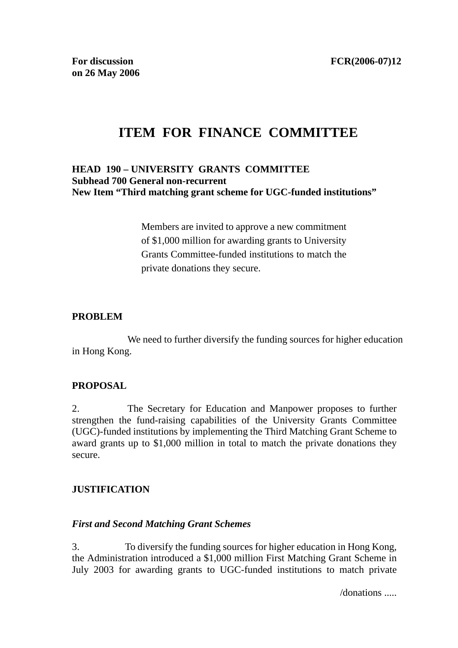# **ITEM FOR FINANCE COMMITTEE**

### **HEAD 190 – UNIVERSITY GRANTS COMMITTEE Subhead 700 General non-recurrent New Item "Third matching grant scheme for UGC-funded institutions"**

Members are invited to approve a new commitment of \$1,000 million for awarding grants to University Grants Committee-funded institutions to match the private donations they secure.

#### **PROBLEM**

 We need to further diversify the funding sources for higher education in Hong Kong.

### **PROPOSAL**

2. The Secretary for Education and Manpower proposes to further strengthen the fund-raising capabilities of the University Grants Committee (UGC)-funded institutions by implementing the Third Matching Grant Scheme to award grants up to \$1,000 million in total to match the private donations they secure.

# **JUSTIFICATION**

### *First and Second Matching Grant Schemes*

3. To diversify the funding sources for higher education in Hong Kong, the Administration introduced a \$1,000 million First Matching Grant Scheme in July 2003 for awarding grants to UGC-funded institutions to match private

/donations .....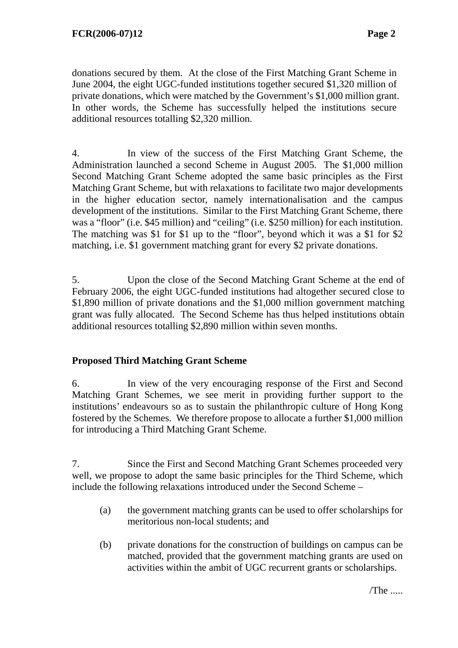donations secured by them. At the close of the First Matching Grant Scheme in June 2004, the eight UGC-funded institutions together secured \$1,320 million of private donations, which were matched by the Government's \$1,000 million grant. In other words, the Scheme has successfully helped the institutions secure additional resources totalling \$2,320 million.

4. In view of the success of the First Matching Grant Scheme, the Administration launched a second Scheme in August 2005. The \$1,000 million Second Matching Grant Scheme adopted the same basic principles as the First Matching Grant Scheme, but with relaxations to facilitate two major developments in the higher education sector, namely internationalisation and the campus development of the institutions. Similar to the First Matching Grant Scheme, there was a "floor" (i.e. \$45 million) and "ceiling" (i.e. \$250 million) for each institution. The matching was \$1 for \$1 up to the "floor", beyond which it was a \$1 for \$2 matching, i.e. \$1 government matching grant for every \$2 private donations.

5. Upon the close of the Second Matching Grant Scheme at the end of February 2006, the eight UGC-funded institutions had altogether secured close to \$1,890 million of private donations and the \$1,000 million government matching grant was fully allocated. The Second Scheme has thus helped institutions obtain additional resources totalling \$2,890 million within seven months.

# **Proposed Third Matching Grant Scheme**

6. In view of the very encouraging response of the First and Second Matching Grant Schemes, we see merit in providing further support to the institutions' endeavours so as to sustain the philanthropic culture of Hong Kong fostered by the Schemes. We therefore propose to allocate a further \$1,000 million for introducing a Third Matching Grant Scheme.

7. Since the First and Second Matching Grant Schemes proceeded very well, we propose to adopt the same basic principles for the Third Scheme, which include the following relaxations introduced under the Second Scheme –

- (a) the government matching grants can be used to offer scholarships for meritorious non-local students; and
- (b) private donations for the construction of buildings on campus can be matched, provided that the government matching grants are used on activities within the ambit of UGC recurrent grants or scholarships.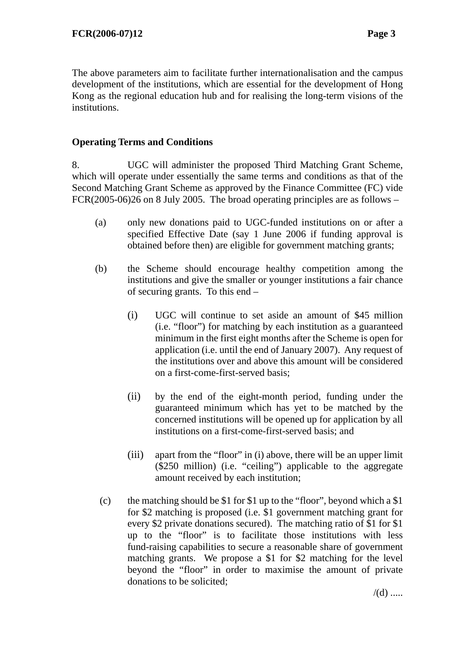The above parameters aim to facilitate further internationalisation and the campus development of the institutions, which are essential for the development of Hong Kong as the regional education hub and for realising the long-term visions of the institutions.

# **Operating Terms and Conditions**

8. UGC will administer the proposed Third Matching Grant Scheme, which will operate under essentially the same terms and conditions as that of the Second Matching Grant Scheme as approved by the Finance Committee (FC) vide FCR(2005-06)26 on 8 July 2005. The broad operating principles are as follows –

- (a) only new donations paid to UGC-funded institutions on or after a specified Effective Date (say 1 June 2006 if funding approval is obtained before then) are eligible for government matching grants;
- (b) the Scheme should encourage healthy competition among the institutions and give the smaller or younger institutions a fair chance of securing grants. To this end –
	- (i) UGC will continue to set aside an amount of \$45 million (i.e. "floor") for matching by each institution as a guaranteed minimum in the first eight months after the Scheme is open for application (i.e. until the end of January 2007). Any request of the institutions over and above this amount will be considered on a first-come-first-served basis;
	- (ii) by the end of the eight-month period, funding under the guaranteed minimum which has yet to be matched by the concerned institutions will be opened up for application by all institutions on a first-come-first-served basis; and
	- (iii) apart from the "floor" in (i) above, there will be an upper limit (\$250 million) (i.e. "ceiling") applicable to the aggregate amount received by each institution;
	- (c) the matching should be \$1 for \$1 up to the "floor", beyond which a \$1 for \$2 matching is proposed (i.e. \$1 government matching grant for every \$2 private donations secured). The matching ratio of \$1 for \$1 up to the "floor" is to facilitate those institutions with less fund-raising capabilities to secure a reasonable share of government matching grants. We propose a \$1 for \$2 matching for the level beyond the "floor" in order to maximise the amount of private donations to be solicited;

 $/(d)$  .....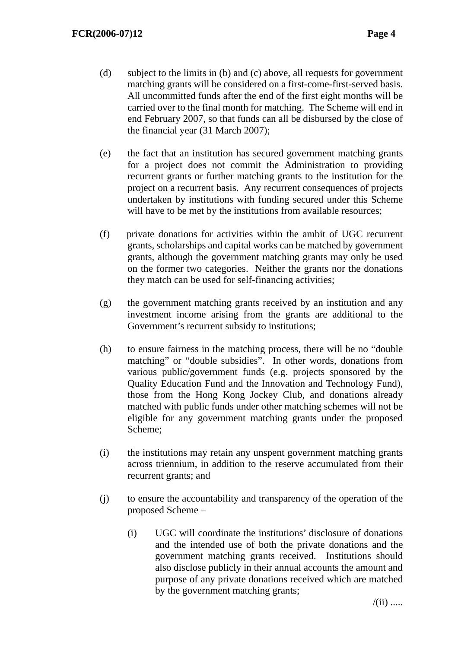- (d) subject to the limits in (b) and (c) above, all requests for government matching grants will be considered on a first-come-first-served basis. All uncommitted funds after the end of the first eight months will be carried over to the final month for matching. The Scheme will end in end February 2007, so that funds can all be disbursed by the close of the financial year (31 March 2007);
- (e) the fact that an institution has secured government matching grants for a project does not commit the Administration to providing recurrent grants or further matching grants to the institution for the project on a recurrent basis. Any recurrent consequences of projects undertaken by institutions with funding secured under this Scheme will have to be met by the institutions from available resources;
- (f) private donations for activities within the ambit of UGC recurrent grants, scholarships and capital works can be matched by government grants, although the government matching grants may only be used on the former two categories. Neither the grants nor the donations they match can be used for self-financing activities;
- (g) the government matching grants received by an institution and any investment income arising from the grants are additional to the Government's recurrent subsidy to institutions;
- (h) to ensure fairness in the matching process, there will be no "double matching" or "double subsidies". In other words, donations from various public/government funds (e.g. projects sponsored by the Quality Education Fund and the Innovation and Technology Fund), those from the Hong Kong Jockey Club, and donations already matched with public funds under other matching schemes will not be eligible for any government matching grants under the proposed Scheme;
- (i) the institutions may retain any unspent government matching grants across triennium, in addition to the reserve accumulated from their recurrent grants; and
- (j) to ensure the accountability and transparency of the operation of the proposed Scheme –
	- (i) UGC will coordinate the institutions' disclosure of donations and the intended use of both the private donations and the government matching grants received. Institutions should also disclose publicly in their annual accounts the amount and purpose of any private donations received which are matched by the government matching grants;